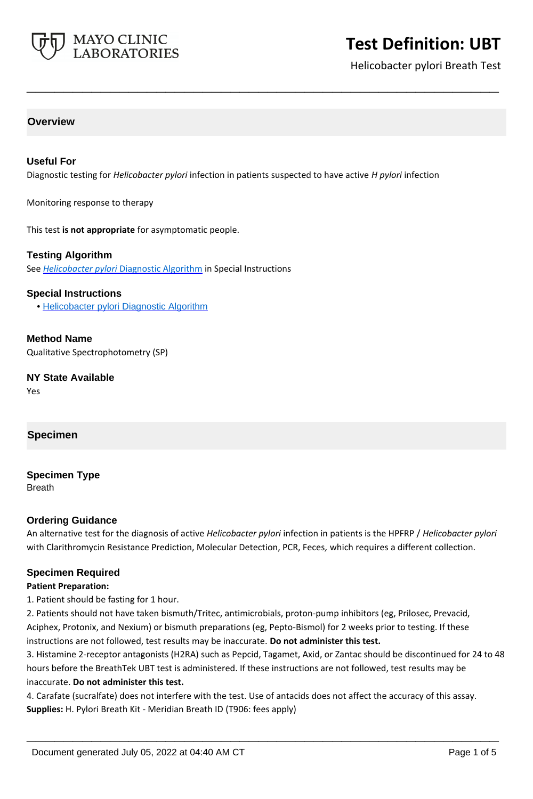

Helicobacter pylori Breath Test

## **Overview**

#### **Useful For**

Diagnostic testing for *Helicobacter pylori* infection in patients suspected to have active *H pylori* infection

**\_\_\_\_\_\_\_\_\_\_\_\_\_\_\_\_\_\_\_\_\_\_\_\_\_\_\_\_\_\_\_\_\_\_\_\_\_\_\_\_\_\_\_\_\_\_\_\_\_\_\_**

Monitoring response to therapy

This test **is not appropriate** for asymptomatic people.

#### **Testing Algorithm**

See *Helicobacter pylori* [Diagnostic Algorithm](http://www.mayocliniclabs.com/it-mmfiles/Helicobacter_pylori_Diagnostic_Algorithm.pdf) in Special Instructions

#### **Special Instructions**

• [Helicobacter pylori Diagnostic Algorithm](http://www.mayocliniclabs.com/it-mmfiles/Helicobacter_pylori_Diagnostic_Algorithm.pdf)

**Method Name** Qualitative Spectrophotometry (SP)

**NY State Available**

Yes

#### **Specimen**

**Specimen Type** Breath

#### **Ordering Guidance**

An alternative test for the diagnosis of active *Helicobacter pylori* infection in patients is the HPFRP / *Helicobacter pylori*  with Clarithromycin Resistance Prediction, Molecular Detection, PCR, Feces*,* which requires a different collection.

#### **Specimen Required**

#### **Patient Preparation:**

1. Patient should be fasting for 1 hour.

2. Patients should not have taken bismuth/Tritec, antimicrobials, proton-pump inhibitors (eg, Prilosec, Prevacid, Aciphex, Protonix, and Nexium) or bismuth preparations (eg, Pepto-Bismol) for 2 weeks prior to testing. If these instructions are not followed, test results may be inaccurate. **Do not administer this test.**

3. Histamine 2-receptor antagonists (H2RA) such as Pepcid, Tagamet, Axid, or Zantac should be discontinued for 24 to 48 hours before the BreathTek UBT test is administered. If these instructions are not followed, test results may be inaccurate. **Do not administer this test.**

**\_\_\_\_\_\_\_\_\_\_\_\_\_\_\_\_\_\_\_\_\_\_\_\_\_\_\_\_\_\_\_\_\_\_\_\_\_\_\_\_\_\_\_\_\_\_\_\_\_\_\_**

4. Carafate (sucralfate) does not interfere with the test. Use of antacids does not affect the accuracy of this assay. **Supplies:** H. Pylori Breath Kit - Meridian Breath ID (T906: fees apply)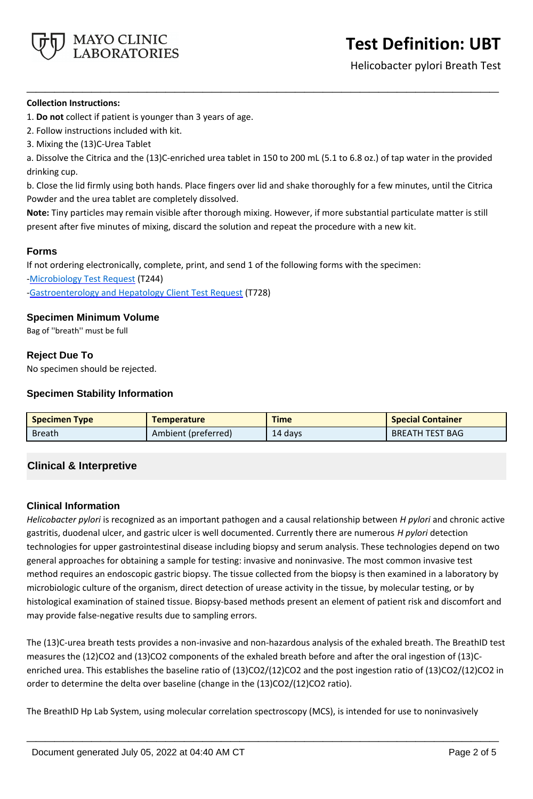

Helicobacter pylori Breath Test

#### **Collection Instructions:**

1. **Do not** collect if patient is younger than 3 years of age.

- 2. Follow instructions included with kit.
- 3. Mixing the (13)C-Urea Tablet

a. Dissolve the Citrica and the (13)C-enriched urea tablet in 150 to 200 mL (5.1 to 6.8 oz.) of tap water in the provided drinking cup.

**\_\_\_\_\_\_\_\_\_\_\_\_\_\_\_\_\_\_\_\_\_\_\_\_\_\_\_\_\_\_\_\_\_\_\_\_\_\_\_\_\_\_\_\_\_\_\_\_\_\_\_**

b. Close the lid firmly using both hands. Place fingers over lid and shake thoroughly for a few minutes, until the Citrica Powder and the urea tablet are completely dissolved.

**Note:** Tiny particles may remain visible after thorough mixing. However, if more substantial particulate matter is still present after five minutes of mixing, discard the solution and repeat the procedure with a new kit.

## **Forms**

If not ordering electronically, complete, print, and send 1 of the following forms with the specimen: [-Microbiology Test Request](https://www.mayocliniclabs.com/it-mmfiles/microbiology_test_request_form.pdf) (T244) [-Gastroenterology and Hepatology Client Test Request](https://www.mayocliniclabs.com/it-mmfiles/gastroenterology-and-hepatology-test-request.pdf) (T728)

## **Specimen Minimum Volume**

Bag of ''breath'' must be full

## **Reject Due To**

No specimen should be rejected.

## **Specimen Stability Information**

| <b>Specimen Type</b> | <b>Temperature</b>  | <b>Time</b> | <b>Special Container</b> |
|----------------------|---------------------|-------------|--------------------------|
| <b>Breath</b>        | Ambient (preferred) | 14 days     | <b>BREATH TEST BAG</b>   |

# **Clinical & Interpretive**

## **Clinical Information**

*Helicobacter pylori* is recognized as an important pathogen and a causal relationship between *H pylori* and chronic active gastritis, duodenal ulcer, and gastric ulcer is well documented. Currently there are numerous *H pylori* detection technologies for upper gastrointestinal disease including biopsy and serum analysis. These technologies depend on two general approaches for obtaining a sample for testing: invasive and noninvasive. The most common invasive test method requires an endoscopic gastric biopsy. The tissue collected from the biopsy is then examined in a laboratory by microbiologic culture of the organism, direct detection of urease activity in the tissue, by molecular testing, or by histological examination of stained tissue. Biopsy-based methods present an element of patient risk and discomfort and may provide false-negative results due to sampling errors.

The (13)C-urea breath tests provides a non-invasive and non-hazardous analysis of the exhaled breath. The BreathID test measures the (12)CO2 and (13)CO2 components of the exhaled breath before and after the oral ingestion of (13)Cenriched urea. This establishes the baseline ratio of (13)CO2/(12)CO2 and the post ingestion ratio of (13)CO2/(12)CO2 in order to determine the delta over baseline (change in the  $(13)CO2/(12)CO2$  ratio).

The BreathID Hp Lab System, using molecular correlation spectroscopy (MCS), is intended for use to noninvasively

**\_\_\_\_\_\_\_\_\_\_\_\_\_\_\_\_\_\_\_\_\_\_\_\_\_\_\_\_\_\_\_\_\_\_\_\_\_\_\_\_\_\_\_\_\_\_\_\_\_\_\_**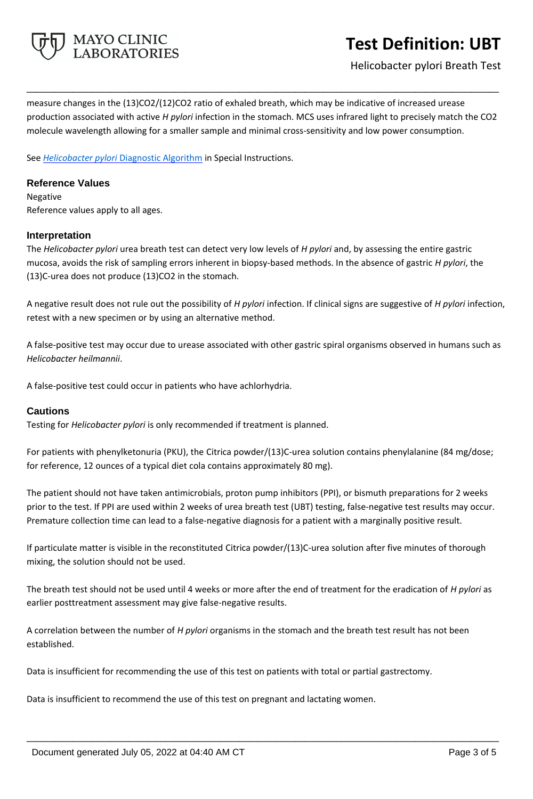

Helicobacter pylori Breath Test

measure changes in the (13)CO2/(12)CO2 ratio of exhaled breath, which may be indicative of increased urease production associated with active *H pylori* infection in the stomach. MCS uses infrared light to precisely match the CO2 molecule wavelength allowing for a smaller sample and minimal cross-sensitivity and low power consumption.

**\_\_\_\_\_\_\_\_\_\_\_\_\_\_\_\_\_\_\_\_\_\_\_\_\_\_\_\_\_\_\_\_\_\_\_\_\_\_\_\_\_\_\_\_\_\_\_\_\_\_\_**

See *Helicobacter pylori* [Diagnostic Algorithm](http://www.mayocliniclabs.com/it-mmfiles/Helicobacter_pylori_Diagnostic_Algorithm.pdf) in Special Instructions.

### **Reference Values**

Negative Reference values apply to all ages.

#### **Interpretation**

The *Helicobacter pylori* urea breath test can detect very low levels of *H pylori* and, by assessing the entire gastric mucosa, avoids the risk of sampling errors inherent in biopsy-based methods. In the absence of gastric *H pylori*, the (13)C-urea does not produce (13)CO2 in the stomach.

A negative result does not rule out the possibility of *H pylori* infection. If clinical signs are suggestive of *H pylori* infection, retest with a new specimen or by using an alternative method.

A false-positive test may occur due to urease associated with other gastric spiral organisms observed in humans such as *Helicobacter heilmannii*.

A false-positive test could occur in patients who have achlorhydria.

## **Cautions**

Testing for *Helicobacter pylori* is only recommended if treatment is planned.

For patients with phenylketonuria (PKU), the Citrica powder/(13)C-urea solution contains phenylalanine (84 mg/dose; for reference, 12 ounces of a typical diet cola contains approximately 80 mg).

The patient should not have taken antimicrobials, proton pump inhibitors (PPI), or bismuth preparations for 2 weeks prior to the test. If PPI are used within 2 weeks of urea breath test (UBT) testing, false-negative test results may occur. Premature collection time can lead to a false-negative diagnosis for a patient with a marginally positive result.

If particulate matter is visible in the reconstituted Citrica powder/(13)C-urea solution after five minutes of thorough mixing, the solution should not be used.

The breath test should not be used until 4 weeks or more after the end of treatment for the eradication of *H pylori* as earlier posttreatment assessment may give false-negative results.

**\_\_\_\_\_\_\_\_\_\_\_\_\_\_\_\_\_\_\_\_\_\_\_\_\_\_\_\_\_\_\_\_\_\_\_\_\_\_\_\_\_\_\_\_\_\_\_\_\_\_\_**

A correlation between the number of *H pylori* organisms in the stomach and the breath test result has not been established.

Data is insufficient for recommending the use of this test on patients with total or partial gastrectomy.

Data is insufficient to recommend the use of this test on pregnant and lactating women.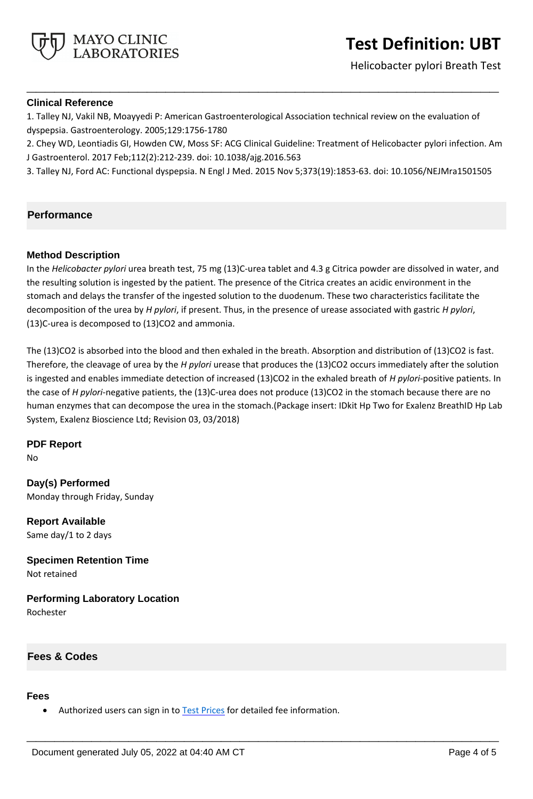



### **Clinical Reference**

MAYO CLINIC **LABORATORIES** 

1. Talley NJ, Vakil NB, Moayyedi P: American Gastroenterological Association technical review on the evaluation of dyspepsia. Gastroenterology. 2005;129:1756-1780

2. Chey WD, Leontiadis GI, Howden CW, Moss SF: ACG Clinical Guideline: Treatment of Helicobacter pylori infection. Am J Gastroenterol. 2017 Feb;112(2):212-239. doi: 10.1038/ajg.2016.563

**\_\_\_\_\_\_\_\_\_\_\_\_\_\_\_\_\_\_\_\_\_\_\_\_\_\_\_\_\_\_\_\_\_\_\_\_\_\_\_\_\_\_\_\_\_\_\_\_\_\_\_**

3. Talley NJ, Ford AC: Functional dyspepsia. N Engl J Med. 2015 Nov 5;373(19):1853-63. doi: 10.1056/NEJMra1501505

#### **Performance**

#### **Method Description**

In the *Helicobacter pylori* urea breath test, 75 mg (13)C-urea tablet and 4.3 g Citrica powder are dissolved in water, and the resulting solution is ingested by the patient. The presence of the Citrica creates an acidic environment in the stomach and delays the transfer of the ingested solution to the duodenum. These two characteristics facilitate the decomposition of the urea by *H pylori*, if present. Thus, in the presence of urease associated with gastric *H pylori*, (13)C-urea is decomposed to (13)CO2 and ammonia.

The (13)CO2 is absorbed into the blood and then exhaled in the breath. Absorption and distribution of (13)CO2 is fast. Therefore, the cleavage of urea by the *H pylori* urease that produces the (13)CO2 occurs immediately after the solution is ingested and enables immediate detection of increased (13)CO2 in the exhaled breath of *H pylori*-positive patients. In the case of *H pylori*-negative patients, the (13)C-urea does not produce (13)CO2 in the stomach because there are no human enzymes that can decompose the urea in the stomach.(Package insert: IDkit Hp Two for Exalenz BreathID Hp Lab System, Exalenz Bioscience Ltd; Revision 03, 03/2018)

**\_\_\_\_\_\_\_\_\_\_\_\_\_\_\_\_\_\_\_\_\_\_\_\_\_\_\_\_\_\_\_\_\_\_\_\_\_\_\_\_\_\_\_\_\_\_\_\_\_\_\_**

**PDF Report**

No

**Day(s) Performed** Monday through Friday, Sunday

**Report Available** Same day/1 to 2 days

**Specimen Retention Time** Not retained

**Performing Laboratory Location** Rochester

# **Fees & Codes**

#### **Fees**

• Authorized users can sign in to **Test Prices** for detailed fee information.